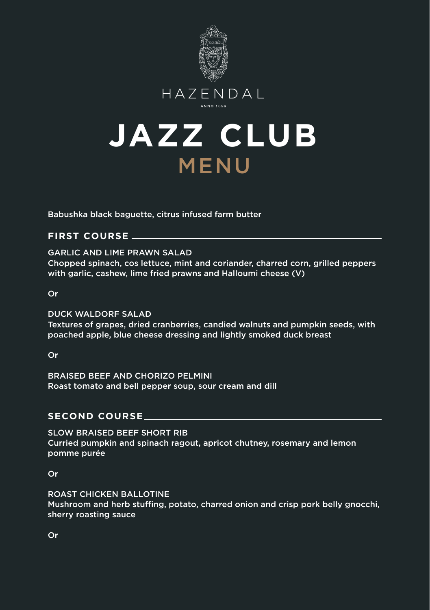





Babushka black baguette, citrus infused farm butter

# **FIRST COURSE**

GARLIC AND LIME PRAWN SALAD Chopped spinach, cos lettuce, mint and coriander, charred corn, grilled peppers with garlic, cashew, lime fried prawns and Halloumi cheese (V)

Or

DUCK WALDORF SALAD

Textures of grapes, dried cranberries, candied walnuts and pumpkin seeds, with poached apple, blue cheese dressing and lightly smoked duck breast

Or

BRAISED BEEF AND CHORIZO PELMINI Roast tomato and bell pepper soup, sour cream and dill

# **SECOND COURSE**

SLOW BRAISED BEEF SHORT RIB Curried pumpkin and spinach ragout, apricot chutney, rosemary and lemon pomme purée

Or

ROAST CHICKEN BALLOTINE Mushroom and herb stuffing, potato, charred onion and crisp pork belly gnocchi. sherry roasting sauce

Or